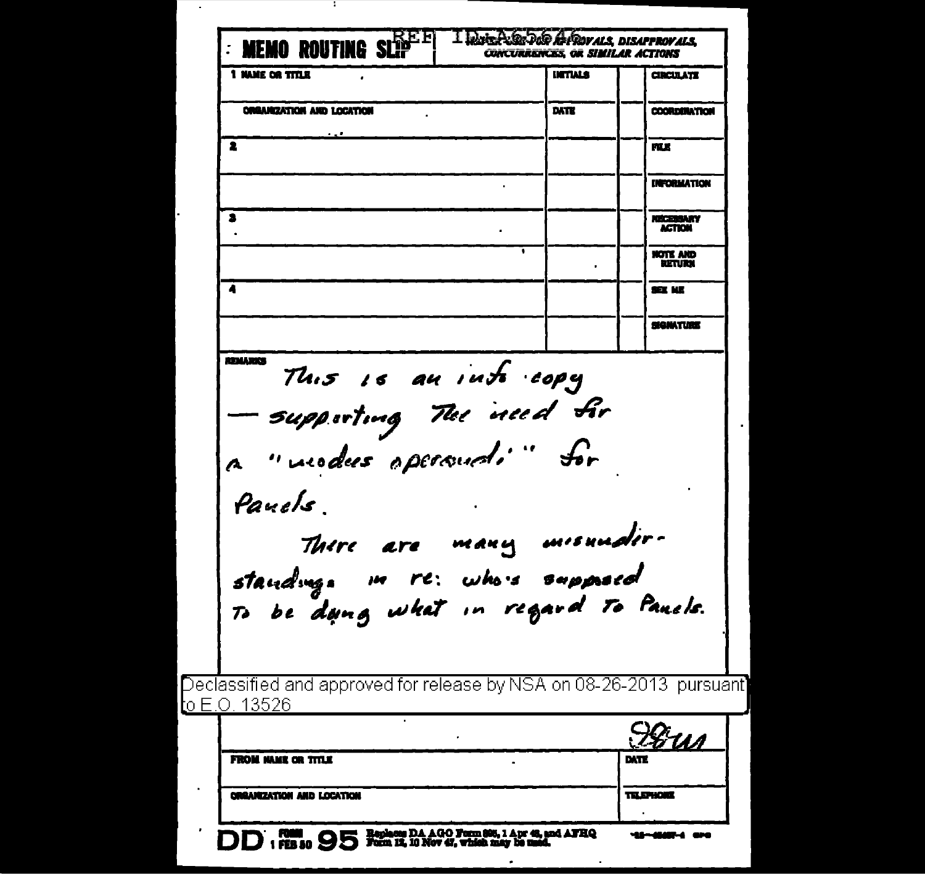| <b>FROM NAME OR TITLE</b>                                               |      | EXTE                      |
|-------------------------------------------------------------------------|------|---------------------------|
|                                                                         |      |                           |
|                                                                         |      | 78 <u>ил</u>              |
| <u>l</u> o E.O. 13526                                                   |      |                           |
| Declassified and approved for release by NSA on 08-26-2013  pursuant]   |      |                           |
|                                                                         |      |                           |
| standing. In re: whois supposed<br>To be dang what in regard To Panels. |      |                           |
| There are many misundir-                                                |      |                           |
|                                                                         |      |                           |
| Pauels                                                                  |      |                           |
| a "vuodes opersuali" for                                                |      |                           |
| — supporting The need fir                                               |      |                           |
| This is an into copy                                                    |      |                           |
| <b>REMARKS</b>                                                          |      |                           |
|                                                                         |      | SE ME<br><b>SIGNATION</b> |
| Ă                                                                       |      | NOTE AND<br>RETURN        |
|                                                                         |      | <b>ACTION</b>             |
| 3                                                                       |      | <b>NECESSARY</b>          |
|                                                                         |      | <b>INFORMATION</b>        |
| 2                                                                       |      | mx                        |
| <b>ORGANIZATION AND LOCATION</b>                                        | DATE | <b>COORDONATION</b>       |
|                                                                         |      |                           |

÷